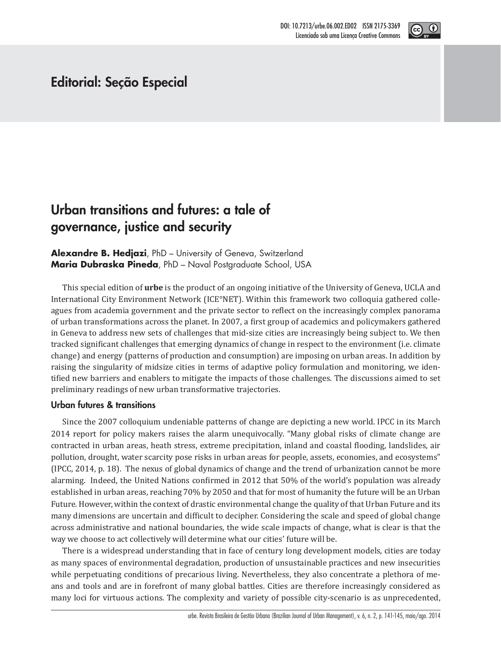

## **Editorial: Seção Especial**

# **Urban transitions and futures: a tale of governance, justice and security**

**Alexandre B. Hedjazi**, PhD – University of Geneva, Switzerland **Maria Dubraska Pineda**, PhD – Naval Postgraduate School, USA

This special edition of **urbe** is the product of an ongoing initiative of the University of Geneva, UCLA and International City Environment Network (ICE°NET). Within this framework two colloquia gathered colleagues from academia government and the private sector to reflect on the increasingly complex panorama of urban transformations across the planet. In 2007, a first group of academics and policymakers gathered in Geneva to address new sets of challenges that mid-size cities are increasingly being subject to. We then tracked significant challenges that emerging dynamics of change in respect to the environment (i.e. climate change) and energy (patterns of production and consumption) are imposing on urban areas. In addition by raising the singularity of midsize cities in terms of adaptive policy formulation and monitoring, we identified new barriers and enablers to mitigate the impacts of those challenges. The discussions aimed to set preliminary readings of new urban transformative trajectories.

### **Urban futures & transitions**

Since the 2007 colloquium undeniable patterns of change are depicting a new world. IPCC in its March 2014 report for policy makers raises the alarm unequivocally. "Many global risks of climate change are contracted in urban areas, heath stress, extreme precipitation, inland and coastal ϐlooding, landslides, air pollution, drought, water scarcity pose risks in urban areas for people, assets, economies, and ecosystems" (IPCC, 2014, p. 18). The nexus of global dynamics of change and the trend of urbanization cannot be more alarming. Indeed, the United Nations confirmed in 2012 that 50% of the world's population was already established in urban areas, reaching 70% by 2050 and that for most of humanity the future will be an Urban Future. However, within the context of drastic environmental change the quality of that Urban Future and its many dimensions are uncertain and difficult to decipher. Considering the scale and speed of global change across administrative and national boundaries, the wide scale impacts of change, what is clear is that the way we choose to act collectively will determine what our cities' future will be.

There is a widespread understanding that in face of century long development models, cities are today as many spaces of environmental degradation, production of unsustainable practices and new insecurities while perpetuating conditions of precarious living. Nevertheless, they also concentrate a plethora of means and tools and are in forefront of many global battles. Cities are therefore increasingly considered as many loci for virtuous actions. The complexity and variety of possible city-scenario is as unprecedented,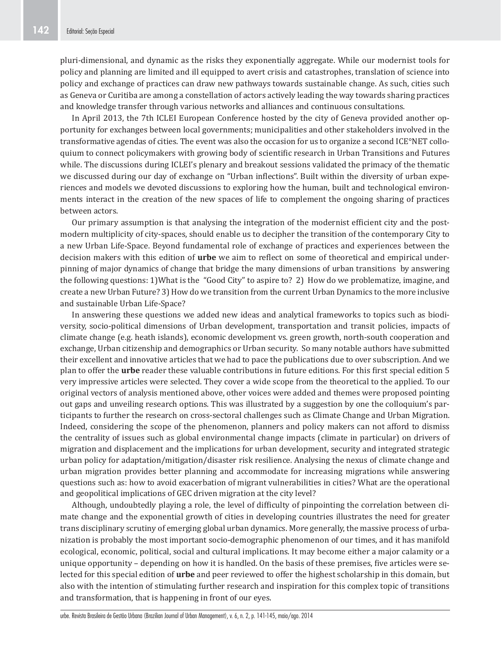pluri-dimensional, and dynamic as the risks they exponentially aggregate. While our modernist tools for policy and planning are limited and ill equipped to avert crisis and catastrophes, translation of science into policy and exchange of practices can draw new pathways towards sustainable change. As such, cities such as Geneva or Curitiba are among a constellation of actors actively leading the way towards sharing practices and knowledge transfer through various networks and alliances and continuous consultations.

In April 2013, the 7th ICLEI European Conference hosted by the city of Geneva provided another opportunity for exchanges between local governments; municipalities and other stakeholders involved in the transformative agendas of cities. The event was also the occasion for us to organize a second ICE°NET colloquium to connect policymakers with growing body of scientific research in Urban Transitions and Futures while. The discussions during ICLEI's plenary and breakout sessions validated the primacy of the thematic we discussed during our day of exchange on "Urban inflections". Built within the diversity of urban experiences and models we devoted discussions to exploring how the human, built and technological environments interact in the creation of the new spaces of life to complement the ongoing sharing of practices between actors.

Our primary assumption is that analysing the integration of the modernist efficient city and the postmodern multiplicity of city-spaces, should enable us to decipher the transition of the contemporary City to a new Urban Life-Space. Beyond fundamental role of exchange of practices and experiences between the decision makers with this edition of **urbe** we aim to reflect on some of theoretical and empirical underpinning of major dynamics of change that bridge the many dimensions of urban transitions by answering the following questions: 1)What is the "Good City" to aspire to? 2) How do we problematize, imagine, and create a new Urban Future? 3) How do we transition from the current Urban Dynamics to the more inclusive and sustainable Urban Life-Space?

In answering these questions we added new ideas and analytical frameworks to topics such as biodiversity, socio-political dimensions of Urban development, transportation and transit policies, impacts of climate change (e.g. heath islands), economic development vs. green growth, north-south cooperation and exchange, Urban citizenship and demographics or Urban security. So many notable authors have submitted their excellent and innovative articles that we had to pace the publications due to over subscription. And we plan to offer the **urbe** reader these valuable contributions in future editions. For this first special edition 5 very impressive articles were selected. They cover a wide scope from the theoretical to the applied. To our original vectors of analysis mentioned above, other voices were added and themes were proposed pointing out gaps and unveiling research options. This was illustrated by a suggestion by one the colloquium's participants to further the research on cross-sectoral challenges such as Climate Change and Urban Migration. Indeed, considering the scope of the phenomenon, planners and policy makers can not afford to dismiss the centrality of issues such as global environmental change impacts (climate in particular) on drivers of migration and displacement and the implications for urban development, security and integrated strategic urban policy for adaptation/mitigation/disaster risk resilience. Analysing the nexus of climate change and urban migration provides better planning and accommodate for increasing migrations while answering questions such as: how to avoid exacerbation of migrant vulnerabilities in cities? What are the operational and geopolitical implications of GEC driven migration at the city level?

Although, undoubtedly playing a role, the level of difficulty of pinpointing the correlation between climate change and the exponential growth of cities in developing countries illustrates the need for greater trans disciplinary scrutiny of emerging global urban dynamics. More generally, the massive process of urbanization is probably the most important socio-demographic phenomenon of our times, and it has manifold ecological, economic, political, social and cultural implications. It may become either a major calamity or a unique opportunity – depending on how it is handled. On the basis of these premises, five articles were selected for this special edition of **urbe** and peer reviewed to offer the highest scholarship in this domain, but also with the intention of stimulating further research and inspiration for this complex topic of transitions and transformation, that is happening in front of our eyes.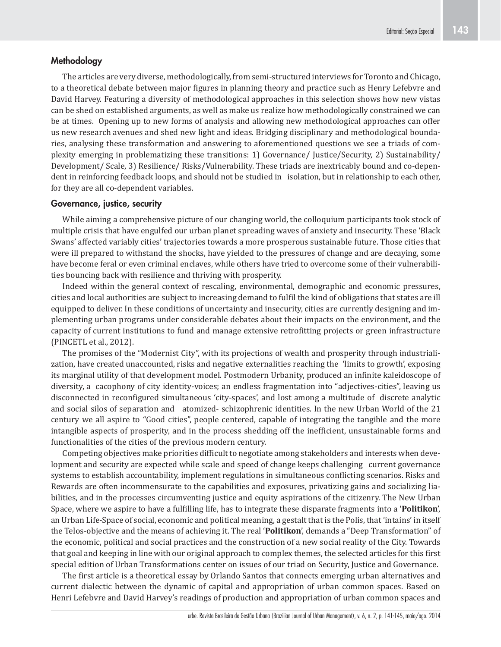### **Methodology**

The articles are very diverse, methodologically, from semi-structured interviews for Toronto and Chicago, to a theoretical debate between major figures in planning theory and practice such as Henry Lefebvre and David Harvey. Featuring a diversity of methodological approaches in this selection shows how new vistas can be shed on established arguments, as well as make us realize how methodologically constrained we can be at times. Opening up to new forms of analysis and allowing new methodological approaches can offer us new research avenues and shed new light and ideas. Bridging disciplinary and methodological boundaries, analysing these transformation and answering to aforementioned questions we see a triads of complexity emerging in problematizing these transitions: 1) Governance/ Justice/Security, 2) Sustainability/ Development/ Scale, 3) Resilience/ Risks/Vulnerability. These triads are inextricably bound and co-dependent in reinforcing feedback loops, and should not be studied in isolation, but in relationship to each other, for they are all co-dependent variables.

#### **Governance, justice, security**

While aiming a comprehensive picture of our changing world, the colloquium participants took stock of multiple crisis that have engulfed our urban planet spreading waves of anxiety and insecurity. These 'Black Swans' affected variably cities' trajectories towards a more prosperous sustainable future. Those cities that were ill prepared to withstand the shocks, have yielded to the pressures of change and are decaying, some have become feral or even criminal enclaves, while others have tried to overcome some of their vulnerabilities bouncing back with resilience and thriving with prosperity.

Indeed within the general context of rescaling, environmental, demographic and economic pressures, cities and local authorities are subject to increasing demand to fulfil the kind of obligations that states are ill equipped to deliver. In these conditions of uncertainty and insecurity, cities are currently designing and implementing urban programs under considerable debates about their impacts on the environment, and the capacity of current institutions to fund and manage extensive retrofitting projects or green infrastructure (PINCETL et al., 2012).

The promises of the "Modernist City", with its projections of wealth and prosperity through industrialization, have created unaccounted, risks and negative externalities reaching the 'limits to growth', exposing its marginal utility of that development model. Postmodern Urbanity, produced an infinite kaleidoscope of diversity, a cacophony of city identity-voices; an endless fragmentation into "adjectives-cities", leaving us disconnected in reconfigured simultaneous 'city-spaces', and lost among a multitude of discrete analytic and social silos of separation and atomized- schizophrenic identities. In the new Urban World of the 21 century we all aspire to "Good cities", people centered, capable of integrating the tangible and the more intangible aspects of prosperity, and in the process shedding off the inefficient, unsustainable forms and functionalities of the cities of the previous modern century.

Competing objectives make priorities difficult to negotiate among stakeholders and interests when development and security are expected while scale and speed of change keeps challenging current governance systems to establish accountability, implement regulations in simultaneous conflicting scenarios. Risks and Rewards are often incommensurate to the capabilities and exposures, privatizing gains and socializing liabilities, and in the processes circumventing justice and equity aspirations of the citizenry. The New Urban Space, where we aspire to have a fulfilling life, has to integrate these disparate fragments into a '**Politikon'**, an Urban Life-Space of social, economic and political meaning, a gestalt that is the Polis, that 'intains' in itself the Telos-objective and the means of achieving it. The real '**Politikon**', demands a "Deep Transformation" of the economic, political and social practices and the construction of a new social reality of the City. Towards that goal and keeping in line with our original approach to complex themes, the selected articles for this first special edition of Urban Transformations center on issues of our triad on Security, Justice and Governance.

The first article is a theoretical essay by Orlando Santos that connects emerging urban alternatives and current dialectic between the dynamic of capital and appropriation of urban common spaces. Based on Henri Lefebvre and David Harvey's readings of production and appropriation of urban common spaces and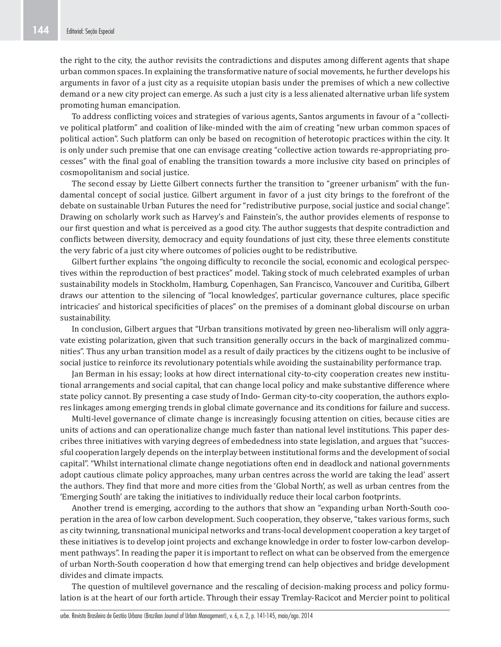the right to the city, the author revisits the contradictions and disputes among different agents that shape urban common spaces. In explaining the transformative nature of social movements, he further develops his arguments in favor of a just city as a requisite utopian basis under the premises of which a new collective demand or a new city project can emerge. As such a just city is a less alienated alternative urban life system promoting human emancipation.

To address conflicting voices and strategies of various agents, Santos arguments in favour of a "collective political platform" and coalition of like-minded with the aim of creating "new urban common spaces of political action". Such platform can only be based on recognition of heterotopic practices within the city. It is only under such premise that one can envisage creating "collective action towards re-appropriating processes" with the final goal of enabling the transition towards a more inclusive city based on principles of cosmopolitanism and social justice.

The second essay by Liette Gilbert connects further the transition to "greener urbanism" with the fundamental concept of social justice. Gilbert argument in favor of a just city brings to the forefront of the debate on sustainable Urban Futures the need for "redistributive purpose, social justice and social change". Drawing on scholarly work such as Harvey's and Fainstein's, the author provides elements of response to our first question and what is perceived as a good city. The author suggests that despite contradiction and conflicts between diversity, democracy and equity foundations of just city, these three elements constitute the very fabric of a just city where outcomes of policies ought to be redistributive.

Gilbert further explains "the ongoing difficulty to reconcile the social, economic and ecological perspectives within the reproduction of best practices" model. Taking stock of much celebrated examples of urban sustainability models in Stockholm, Hamburg, Copenhagen, San Francisco, Vancouver and Curitiba, Gilbert draws our attention to the silencing of "local knowledges', particular governance cultures, place specific intricacies' and historical specificities of places" on the premises of a dominant global discourse on urban sustainability.

In conclusion, Gilbert argues that "Urban transitions motivated by green neo-liberalism will only aggravate existing polarization, given that such transition generally occurs in the back of marginalized communities". Thus any urban transition model as a result of daily practices by the citizens ought to be inclusive of social justice to reinforce its revolutionary potentials while avoiding the sustainability performance trap.

Jan Berman in his essay; looks at how direct international city-to-city cooperation creates new institutional arrangements and social capital, that can change local policy and make substantive difference where state policy cannot. By presenting a case study of Indo- German city-to-city cooperation, the authors explores linkages among emerging trends in global climate governance and its conditions for failure and success.

Multi-level governance of climate change is increasingly focusing attention on cities, because cities are units of actions and can operationalize change much faster than national level institutions. This paper describes three initiatives with varying degrees of embededness into state legislation, and argues that "successful cooperation largely depends on the interplay between institutional forms and the development of social capital". "Whilst international climate change negotiations often end in deadlock and national governments adopt cautious climate policy approaches, many urban centres across the world are taking the lead' assert the authors. They find that more and more cities from the 'Global North', as well as urban centres from the 'Emerging South' are taking the initiatives to individually reduce their local carbon footprints.

Another trend is emerging, according to the authors that show an "expanding urban North-South cooperation in the area of low carbon development. Such cooperation, they observe, "takes various forms, such as city twinning, transnational municipal networks and trans-local development cooperation a key target of these initiatives is to develop joint projects and exchange knowledge in order to foster low-carbon development pathways". In reading the paper it is important to reflect on what can be observed from the emergence of urban North-South cooperation d how that emerging trend can help objectives and bridge development divides and climate impacts.

The question of multilevel governance and the rescaling of decision-making process and policy formulation is at the heart of our forth article. Through their essay Tremlay-Racicot and Mercier point to political